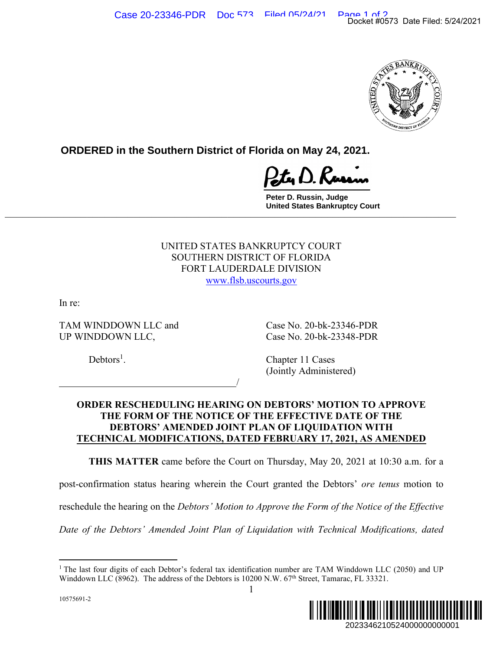

**ORDERED in the Southern District of Florida on May 24, 2021.**

**Peter D. Russin, Judge United States Bankruptcy Court Extract Latter Database Database Dental Aprovement Control Control Database Dental Aprovement Control Control** 

> UNITED STATES BANKRUPTCY COURT SOUTHERN DISTRICT OF FLORIDA FORT LAUDERDALE DIVISION www.flsb.uscourts.gov

In re:

TAM WINDDOWN LLC and Case No. 20-bk-23346-PDR UP WINDDOWN LLC, Case No. 20-bk-23348-PDR

<u>/</u>

 $Debtors<sup>1</sup>$ .

. Chapter 11 Cases (Jointly Administered)

## **ORDER RESCHEDULING HEARING ON DEBTORS' MOTION TO APPROVE THE FORM OF THE NOTICE OF THE EFFECTIVE DATE OF THE DEBTORS' AMENDED JOINT PLAN OF LIQUIDATION WITH TECHNICAL MODIFICATIONS, DATED FEBRUARY 17, 2021, AS AMENDED**

**THIS MATTER** came before the Court on Thursday, May 20, 2021 at 10:30 a.m. for a

post-confirmation status hearing wherein the Court granted the Debtors' *ore tenus* motion to

reschedule the hearing on the *Debtors' Motion to Approve the Form of the Notice of the Effective* 

*Date of the Debtors' Amended Joint Plan of Liquidation with Technical Modifications, dated* 

<sup>&</sup>lt;sup>1</sup> The last four digits of each Debtor's federal tax identification number are TAM Winddown LLC (2050) and UP Winddown LLC (8962). The address of the Debtors is 10200 N.W. 67<sup>th</sup> Street, Tamarac, FL 33321.